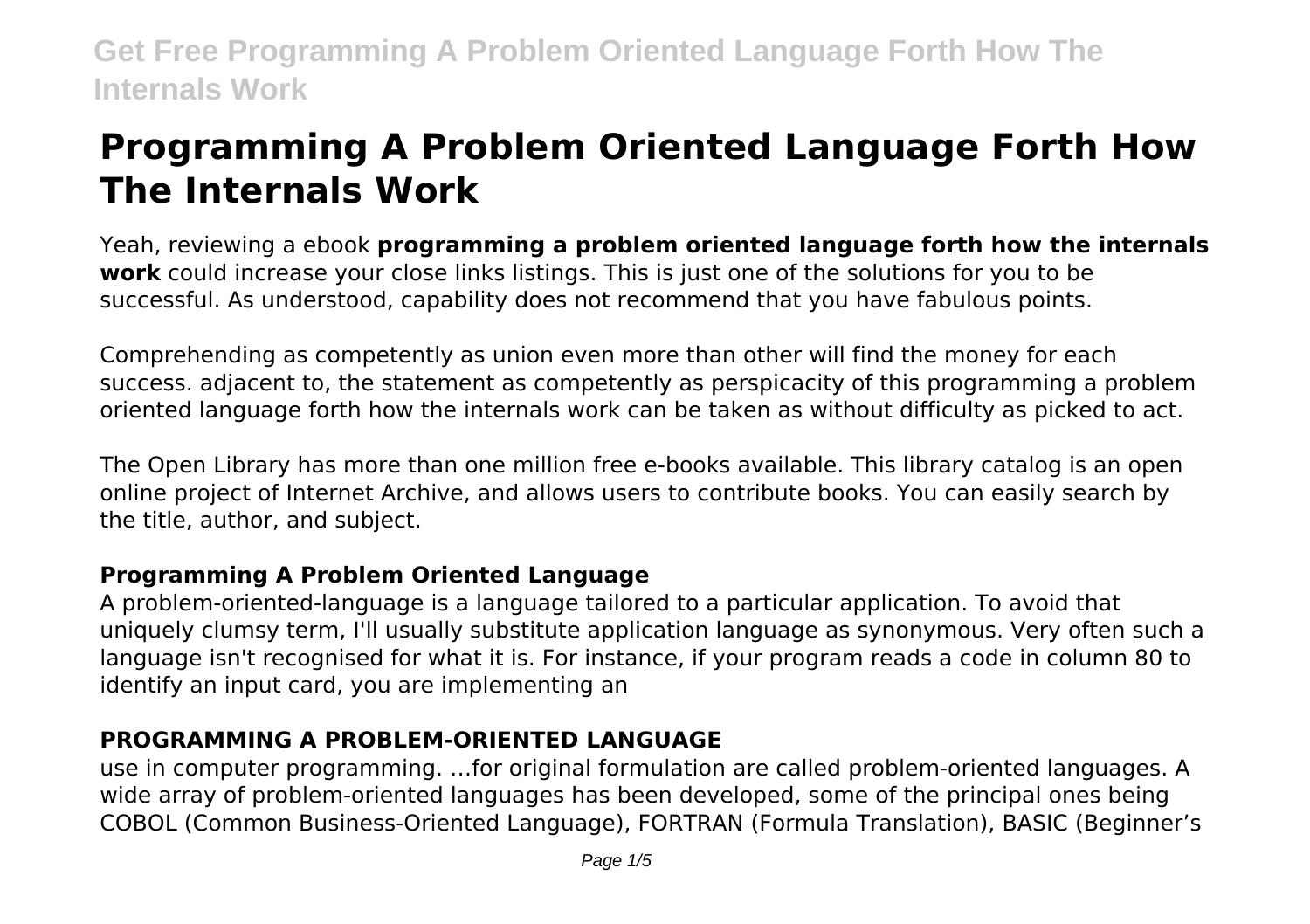# **Programming A Problem Oriented Language Forth How The Internals Work**

Yeah, reviewing a ebook **programming a problem oriented language forth how the internals work** could increase your close links listings. This is just one of the solutions for you to be successful. As understood, capability does not recommend that you have fabulous points.

Comprehending as competently as union even more than other will find the money for each success. adjacent to, the statement as competently as perspicacity of this programming a problem oriented language forth how the internals work can be taken as without difficulty as picked to act.

The Open Library has more than one million free e-books available. This library catalog is an open online project of Internet Archive, and allows users to contribute books. You can easily search by the title, author, and subject.

# **Programming A Problem Oriented Language**

A problem-oriented-language is a language tailored to a particular application. To avoid that uniquely clumsy term, I'll usually substitute application language as synonymous. Very often such a language isn't recognised for what it is. For instance, if your program reads a code in column 80 to identify an input card, you are implementing an

# **PROGRAMMING A PROBLEM-ORIENTED LANGUAGE**

use in computer programming. …for original formulation are called problem-oriented languages. A wide array of problem-oriented languages has been developed, some of the principal ones being COBOL (Common Business-Oriented Language), FORTRAN (Formula Translation), BASIC (Beginner's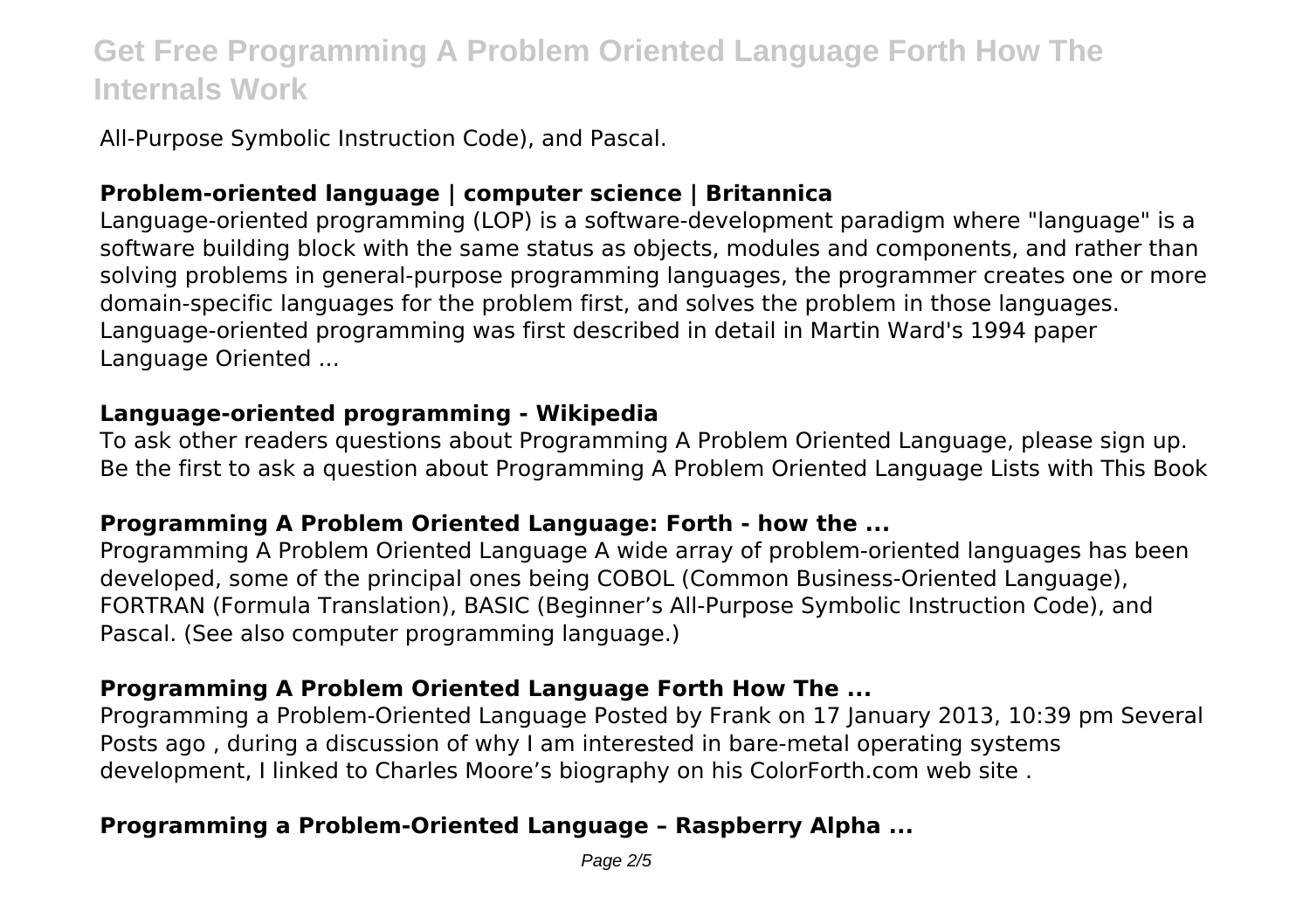All-Purpose Symbolic Instruction Code), and Pascal.

# **Problem-oriented language | computer science | Britannica**

Language-oriented programming (LOP) is a software-development paradigm where "language" is a software building block with the same status as objects, modules and components, and rather than solving problems in general-purpose programming languages, the programmer creates one or more domain-specific languages for the problem first, and solves the problem in those languages. Language-oriented programming was first described in detail in Martin Ward's 1994 paper Language Oriented ...

#### **Language-oriented programming - Wikipedia**

To ask other readers questions about Programming A Problem Oriented Language, please sign up. Be the first to ask a question about Programming A Problem Oriented Language Lists with This Book

#### **Programming A Problem Oriented Language: Forth - how the ...**

Programming A Problem Oriented Language A wide array of problem-oriented languages has been developed, some of the principal ones being COBOL (Common Business-Oriented Language), FORTRAN (Formula Translation), BASIC (Beginner's All-Purpose Symbolic Instruction Code), and Pascal. (See also computer programming language.)

# **Programming A Problem Oriented Language Forth How The ...**

Programming a Problem-Oriented Language Posted by Frank on 17 January 2013, 10:39 pm Several Posts ago , during a discussion of why I am interested in bare-metal operating systems development, I linked to Charles Moore's biography on his ColorForth.com web site .

# **Programming a Problem-Oriented Language – Raspberry Alpha ...**

Page  $2/5$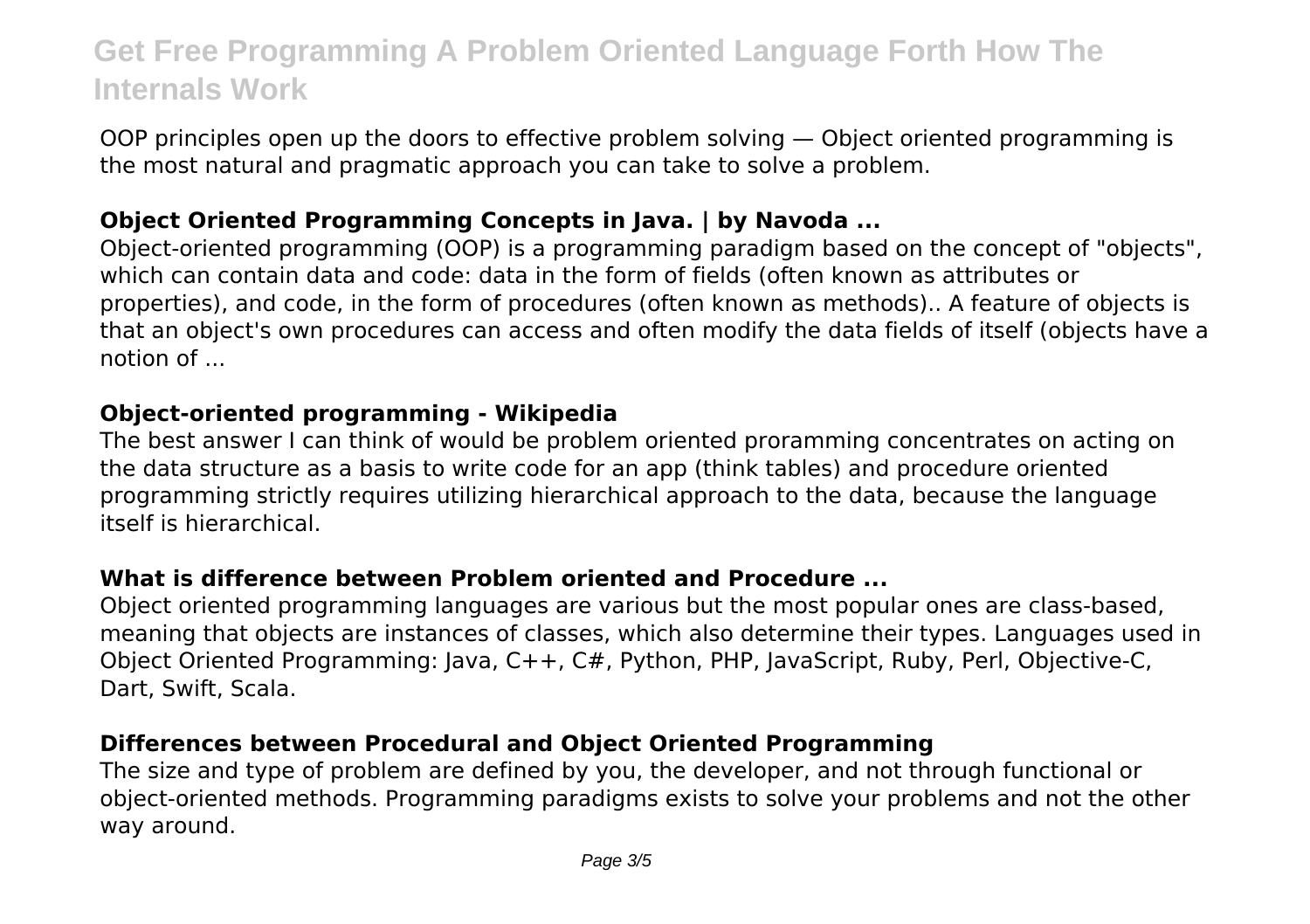OOP principles open up the doors to effective problem solving — Object oriented programming is the most natural and pragmatic approach you can take to solve a problem.

#### **Object Oriented Programming Concepts in Java. | by Navoda ...**

Object-oriented programming (OOP) is a programming paradigm based on the concept of "objects", which can contain data and code: data in the form of fields (often known as attributes or properties), and code, in the form of procedures (often known as methods).. A feature of objects is that an object's own procedures can access and often modify the data fields of itself (objects have a notion of ...

#### **Object-oriented programming - Wikipedia**

The best answer I can think of would be problem oriented proramming concentrates on acting on the data structure as a basis to write code for an app (think tables) and procedure oriented programming strictly requires utilizing hierarchical approach to the data, because the language itself is hierarchical.

#### **What is difference between Problem oriented and Procedure ...**

Object oriented programming languages are various but the most popular ones are class-based, meaning that objects are instances of classes, which also determine their types. Languages used in Object Oriented Programming: Java, C++, C#, Python, PHP, JavaScript, Ruby, Perl, Objective-C, Dart, Swift, Scala.

#### **Differences between Procedural and Object Oriented Programming**

The size and type of problem are defined by you, the developer, and not through functional or object-oriented methods. Programming paradigms exists to solve your problems and not the other way around.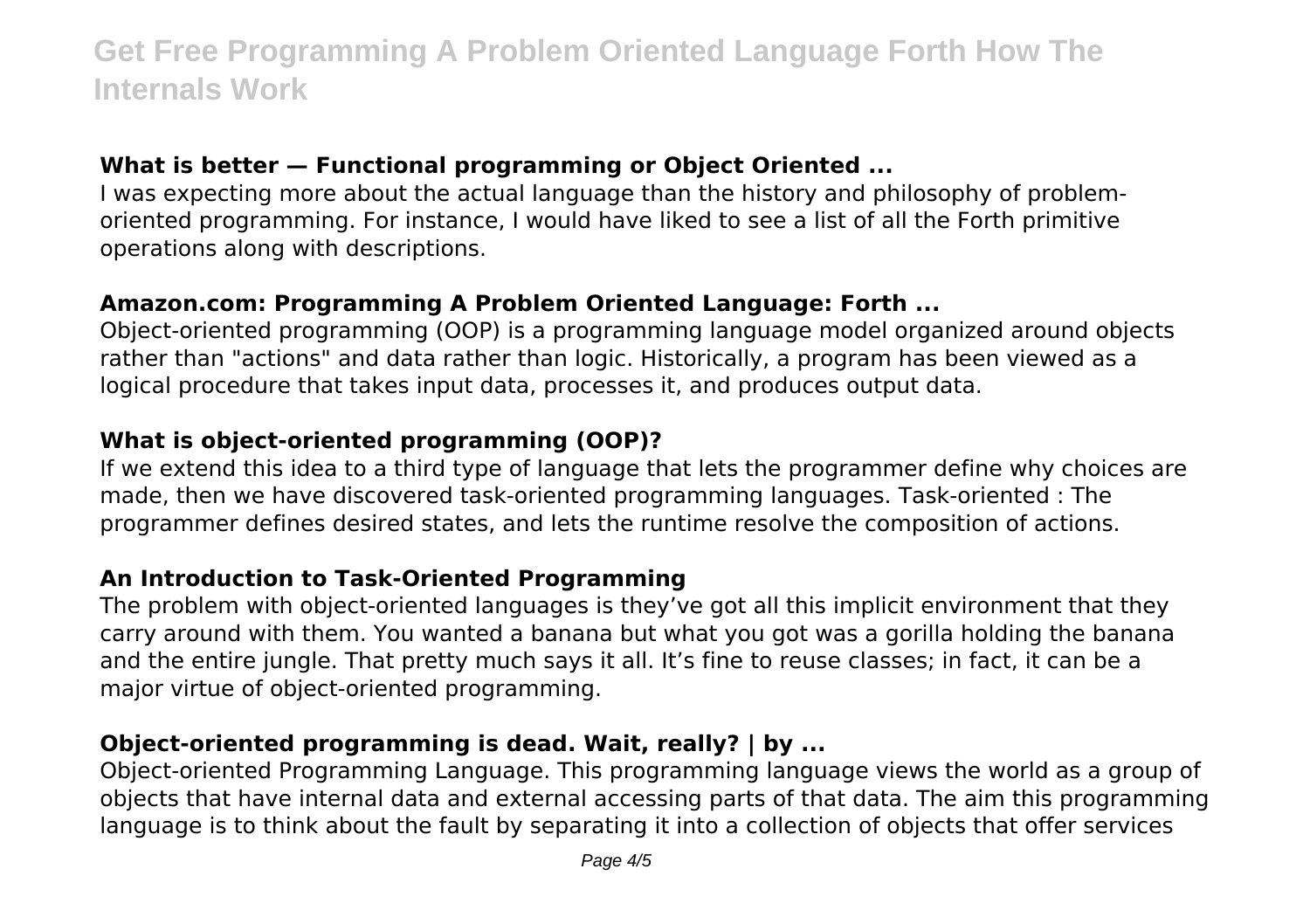#### **What is better — Functional programming or Object Oriented ...**

I was expecting more about the actual language than the history and philosophy of problemoriented programming. For instance, I would have liked to see a list of all the Forth primitive operations along with descriptions.

#### **Amazon.com: Programming A Problem Oriented Language: Forth ...**

Object-oriented programming (OOP) is a programming language model organized around objects rather than "actions" and data rather than logic. Historically, a program has been viewed as a logical procedure that takes input data, processes it, and produces output data.

# **What is object-oriented programming (OOP)?**

If we extend this idea to a third type of language that lets the programmer define why choices are made, then we have discovered task-oriented programming languages. Task-oriented : The programmer defines desired states, and lets the runtime resolve the composition of actions.

# **An Introduction to Task-Oriented Programming**

The problem with object-oriented languages is they've got all this implicit environment that they carry around with them. You wanted a banana but what you got was a gorilla holding the banana and the entire jungle. That pretty much says it all. It's fine to reuse classes; in fact, it can be a major virtue of object-oriented programming.

# **Object-oriented programming is dead. Wait, really? | by ...**

Object-oriented Programming Language. This programming language views the world as a group of objects that have internal data and external accessing parts of that data. The aim this programming language is to think about the fault by separating it into a collection of objects that offer services